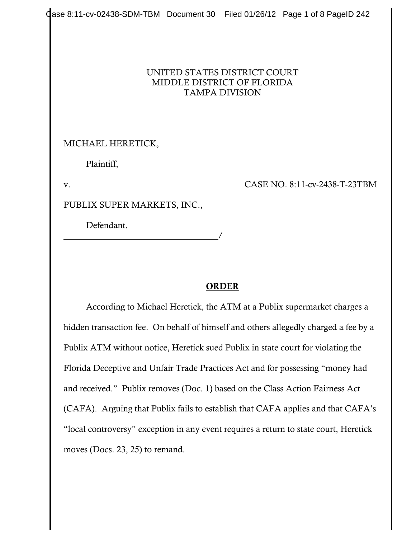## UNITED STATES DISTRICT COURT MIDDLE DISTRICT OF FLORIDA TAMPA DIVISION

MICHAEL HERETICK,

Plaintiff,

v. CASE NO. 8:11-cv-2438-T-23TBM

PUBLIX SUPER MARKETS, INC.,

Defendant.

/

## **ORDER**

According to Michael Heretick, the ATM at a Publix supermarket charges a hidden transaction fee. On behalf of himself and others allegedly charged a fee by a Publix ATM without notice, Heretick sued Publix in state court for violating the Florida Deceptive and Unfair Trade Practices Act and for possessing "money had and received." Publix removes (Doc. 1) based on the Class Action Fairness Act (CAFA). Arguing that Publix fails to establish that CAFA applies and that CAFA's "local controversy" exception in any event requires a return to state court, Heretick moves (Docs. 23, 25) to remand.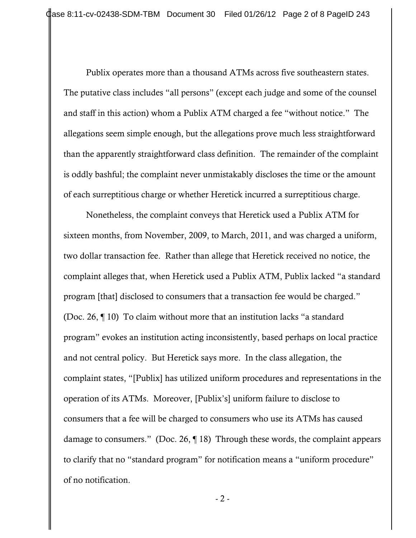Publix operates more than a thousand ATMs across five southeastern states. The putative class includes "all persons" (except each judge and some of the counsel and staff in this action) whom a Publix ATM charged a fee "without notice." The allegations seem simple enough, but the allegations prove much less straightforward than the apparently straightforward class definition. The remainder of the complaint is oddly bashful; the complaint never unmistakably discloses the time or the amount of each surreptitious charge or whether Heretick incurred a surreptitious charge.

Nonetheless, the complaint conveys that Heretick used a Publix ATM for sixteen months, from November, 2009, to March, 2011, and was charged a uniform, two dollar transaction fee. Rather than allege that Heretick received no notice, the complaint alleges that, when Heretick used a Publix ATM, Publix lacked "a standard program [that] disclosed to consumers that a transaction fee would be charged." (Doc. 26, ¶ 10) To claim without more that an institution lacks "a standard program" evokes an institution acting inconsistently, based perhaps on local practice and not central policy. But Heretick says more. In the class allegation, the complaint states, "[Publix] has utilized uniform procedures and representations in the operation of its ATMs. Moreover, [Publix's] uniform failure to disclose to consumers that a fee will be charged to consumers who use its ATMs has caused damage to consumers." (Doc. 26, ¶ 18) Through these words, the complaint appears to clarify that no "standard program" for notification means a "uniform procedure" of no notification.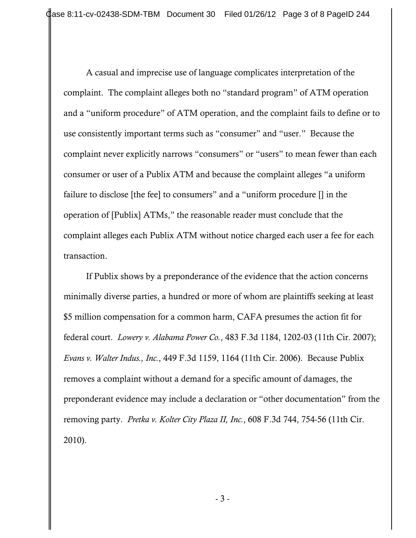A casual and imprecise use of language complicates interpretation of the complaint. The complaint alleges both no "standard program" of ATM operation and a "uniform procedure" of ATM operation, and the complaint fails to define or to use consistently important terms such as "consumer" and "user." Because the complaint never explicitly narrows "consumers" or "users" to mean fewer than each consumer or user of a Publix ATM and because the complaint alleges "a uniform failure to disclose [the fee] to consumers" and a "uniform procedure [] in the operation of [Publix] ATMs," the reasonable reader must conclude that the complaint alleges each Publix ATM without notice charged each user a fee for each transaction.

If Publix shows by a preponderance of the evidence that the action concerns minimally diverse parties, a hundred or more of whom are plaintiffs seeking at least \$5 million compensation for a common harm, CAFA presumes the action fit for federal court. *Lowery v. Alabama Power Co.*, 483 F.3d 1184, 1202-03 (11th Cir. 2007); *Evans v. Walter Indus., Inc.*, 449 F.3d 1159, 1164 (11th Cir. 2006). Because Publix removes a complaint without a demand for a specific amount of damages, the preponderant evidence may include a declaration or "other documentation" from the removing party. *Pretka v. Kolter City Plaza II, Inc.*, 608 F.3d 744, 754-56 (11th Cir. 2010).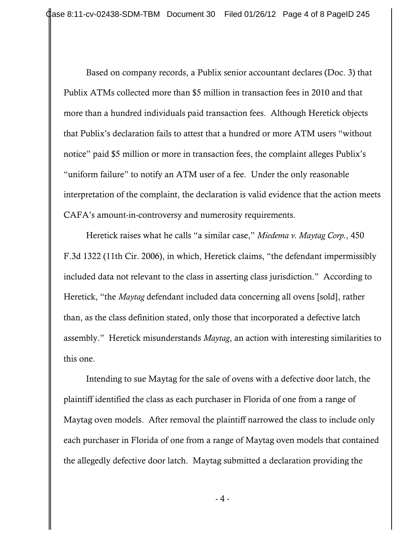Based on company records, a Publix senior accountant declares (Doc. 3) that Publix ATMs collected more than \$5 million in transaction fees in 2010 and that more than a hundred individuals paid transaction fees. Although Heretick objects that Publix's declaration fails to attest that a hundred or more ATM users "without notice" paid \$5 million or more in transaction fees, the complaint alleges Publix's "uniform failure" to notify an ATM user of a fee. Under the only reasonable interpretation of the complaint, the declaration is valid evidence that the action meets CAFA's amount-in-controversy and numerosity requirements.

Heretick raises what he calls "a similar case," *Miedema v. Maytag Corp.*, 450 F.3d 1322 (11th Cir. 2006), in which, Heretick claims, "the defendant impermissibly included data not relevant to the class in asserting class jurisdiction." According to Heretick, "the *Maytag* defendant included data concerning all ovens [sold], rather than, as the class definition stated, only those that incorporated a defective latch assembly." Heretick misunderstands *Maytag*, an action with interesting similarities to this one.

Intending to sue Maytag for the sale of ovens with a defective door latch, the plaintiff identified the class as each purchaser in Florida of one from a range of Maytag oven models. After removal the plaintiff narrowed the class to include only each purchaser in Florida of one from a range of Maytag oven models that contained the allegedly defective door latch. Maytag submitted a declaration providing the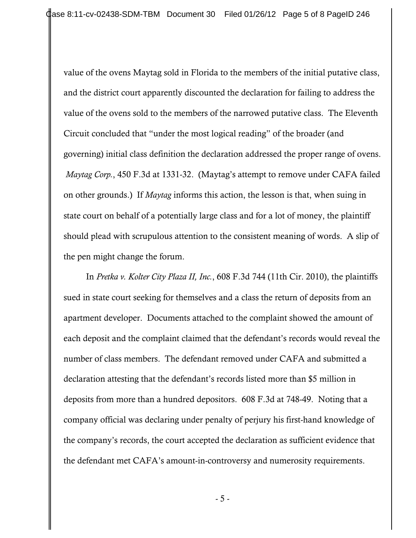value of the ovens Maytag sold in Florida to the members of the initial putative class, and the district court apparently discounted the declaration for failing to address the value of the ovens sold to the members of the narrowed putative class. The Eleventh Circuit concluded that "under the most logical reading" of the broader (and governing) initial class definition the declaration addressed the proper range of ovens.  *Maytag Corp.*, 450 F.3d at 1331-32. (Maytag's attempt to remove under CAFA failed on other grounds.) If *Maytag* informs this action, the lesson is that, when suing in state court on behalf of a potentially large class and for a lot of money, the plaintiff should plead with scrupulous attention to the consistent meaning of words. A slip of the pen might change the forum.

In *Pretka v. Kolter City Plaza II, Inc.*, 608 F.3d 744 (11th Cir. 2010), the plaintiffs sued in state court seeking for themselves and a class the return of deposits from an apartment developer. Documents attached to the complaint showed the amount of each deposit and the complaint claimed that the defendant's records would reveal the number of class members. The defendant removed under CAFA and submitted a declaration attesting that the defendant's records listed more than \$5 million in deposits from more than a hundred depositors. 608 F.3d at 748-49. Noting that a company official was declaring under penalty of perjury his first-hand knowledge of the company's records, the court accepted the declaration as sufficient evidence that the defendant met CAFA's amount-in-controversy and numerosity requirements.

- 5 -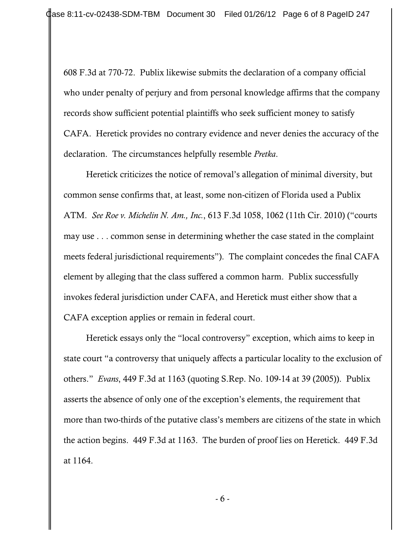608 F.3d at 770-72. Publix likewise submits the declaration of a company official who under penalty of perjury and from personal knowledge affirms that the company records show sufficient potential plaintiffs who seek sufficient money to satisfy CAFA. Heretick provides no contrary evidence and never denies the accuracy of the declaration. The circumstances helpfully resemble *Pretka*.

Heretick criticizes the notice of removal's allegation of minimal diversity, but common sense confirms that, at least, some non-citizen of Florida used a Publix ATM. *See Roe v. Michelin N. Am., Inc.*, 613 F.3d 1058, 1062 (11th Cir. 2010) ("courts may use . . . common sense in determining whether the case stated in the complaint meets federal jurisdictional requirements"). The complaint concedes the final CAFA element by alleging that the class suffered a common harm. Publix successfully invokes federal jurisdiction under CAFA, and Heretick must either show that a CAFA exception applies or remain in federal court.

Heretick essays only the "local controversy" exception, which aims to keep in state court "a controversy that uniquely affects a particular locality to the exclusion of others." *Evans*, 449 F.3d at 1163 (quoting S.Rep. No. 109-14 at 39 (2005)). Publix asserts the absence of only one of the exception's elements, the requirement that more than two-thirds of the putative class's members are citizens of the state in which the action begins. 449 F.3d at 1163. The burden of proof lies on Heretick. 449 F.3d at 1164.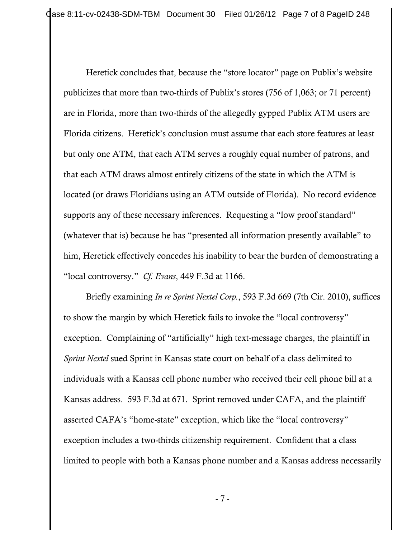Heretick concludes that, because the "store locator" page on Publix's website publicizes that more than two-thirds of Publix's stores (756 of 1,063; or 71 percent) are in Florida, more than two-thirds of the allegedly gypped Publix ATM users are Florida citizens. Heretick's conclusion must assume that each store features at least but only one ATM, that each ATM serves a roughly equal number of patrons, and that each ATM draws almost entirely citizens of the state in which the ATM is located (or draws Floridians using an ATM outside of Florida). No record evidence supports any of these necessary inferences. Requesting a "low proof standard" (whatever that is) because he has "presented all information presently available" to him, Heretick effectively concedes his inability to bear the burden of demonstrating a "local controversy." *Cf. Evans*, 449 F.3d at 1166.

Briefly examining *In re Sprint Nextel Corp.*, 593 F.3d 669 (7th Cir. 2010), suffices to show the margin by which Heretick fails to invoke the "local controversy" exception. Complaining of "artificially" high text-message charges, the plaintiff in *Sprint Nextel* sued Sprint in Kansas state court on behalf of a class delimited to individuals with a Kansas cell phone number who received their cell phone bill at a Kansas address. 593 F.3d at 671. Sprint removed under CAFA, and the plaintiff asserted CAFA's "home-state" exception, which like the "local controversy" exception includes a two-thirds citizenship requirement. Confident that a class limited to people with both a Kansas phone number and a Kansas address necessarily

- 7 -